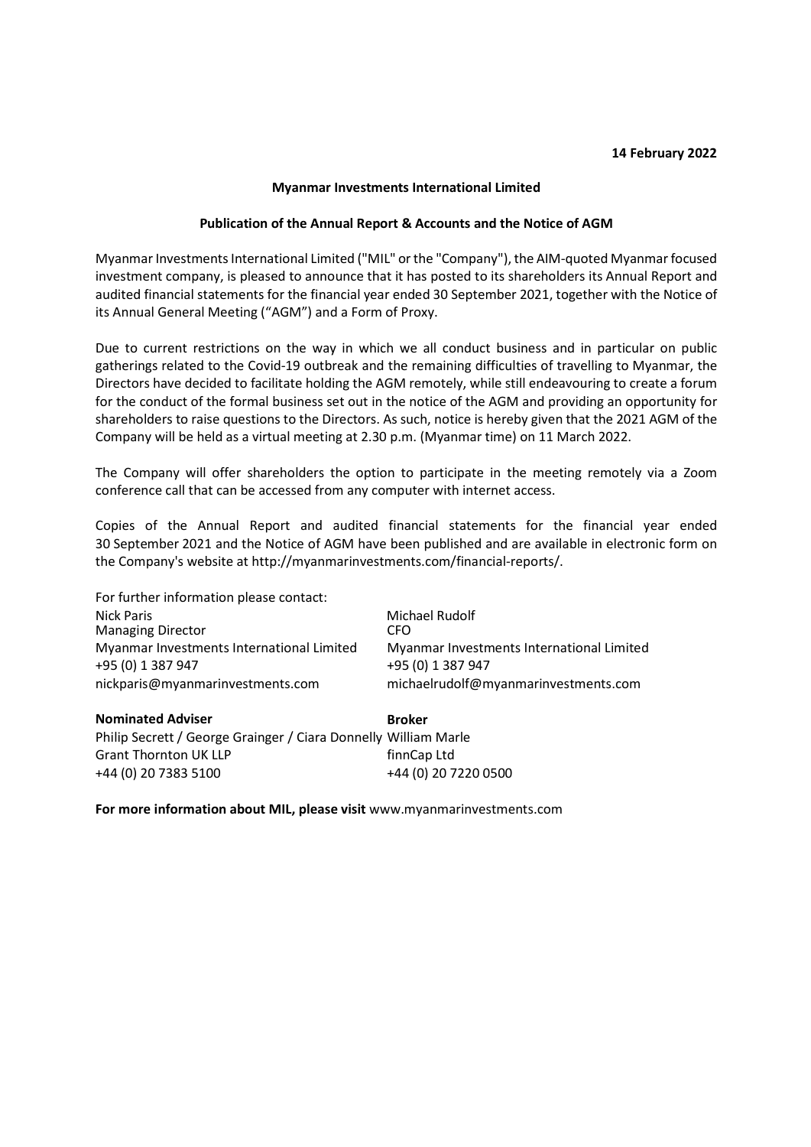## 14 February 2022

## Myanmar Investments International Limited

## Publication of the Annual Report & Accounts and the Notice of AGM

Myanmar Investments International Limited ("MIL" or the "Company"), the AIM-quoted Myanmar focused investment company, is pleased to announce that it has posted to its shareholders its Annual Report and audited financial statements for the financial year ended 30 September 2021, together with the Notice of its Annual General Meeting ("AGM") and a Form of Proxy.

Due to current restrictions on the way in which we all conduct business and in particular on public gatherings related to the Covid-19 outbreak and the remaining difficulties of travelling to Myanmar, the Directors have decided to facilitate holding the AGM remotely, while still endeavouring to create a forum for the conduct of the formal business set out in the notice of the AGM and providing an opportunity for shareholders to raise questions to the Directors. As such, notice is hereby given that the 2021 AGM of the Company will be held as a virtual meeting at 2.30 p.m. (Myanmar time) on 11 March 2022.

The Company will offer shareholders the option to participate in the meeting remotely via a Zoom conference call that can be accessed from any computer with internet access.

Copies of the Annual Report and audited financial statements for the financial year ended 30 September 2021 and the Notice of AGM have been published and are available in electronic form on the Company's website at http://myanmarinvestments.com/financial-reports/.

| For further information please contact:                         |                                           |
|-----------------------------------------------------------------|-------------------------------------------|
| <b>Nick Paris</b>                                               | Michael Rudolf                            |
| <b>Managing Director</b>                                        | CFO                                       |
| Myanmar Investments International Limited                       | Myanmar Investments International Limited |
| +95 (0) 1 387 947                                               | +95 (0) 1 387 947                         |
| nickparis@myanmarinvestments.com                                | michaelrudolf@myanmarinvestments.com      |
| <b>Nominated Adviser</b>                                        | <b>Broker</b>                             |
| Philip Secrett / George Grainger / Ciara Donnelly William Marle |                                           |
| <b>Grant Thornton UK LLP</b>                                    | finnCap Ltd                               |
| +44 (0) 20 7383 5100                                            | +44 (0) 20 7220 0500                      |

For more information about MIL, please visit www.myanmarinvestments.com